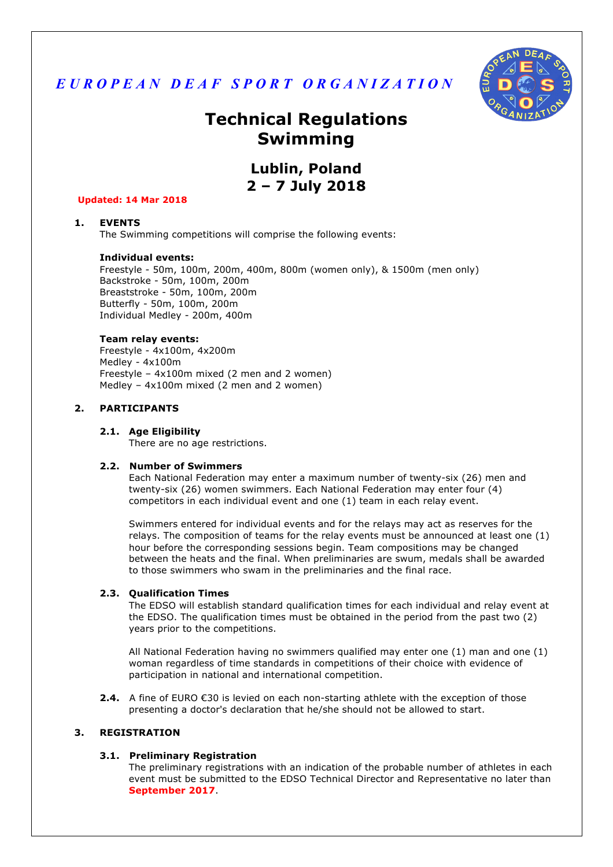



# **Technical Regulations Swimming**

## **Lublin, Poland 2 – 7 July 2018**

#### **Updated: 14 Mar 2018**

## **1. EVENTS**

The Swimming competitions will comprise the following events:

#### **Individual events:**

Freestyle - 50m, 100m, 200m, 400m, 800m (women only), & 1500m (men only) Backstroke - 50m, 100m, 200m Breaststroke - 50m, 100m, 200m Butterfly - 50m, 100m, 200m Individual Medley - 200m, 400m

#### **Team relay events:**

Freestyle - 4x100m, 4x200m Medley - 4x100m Freestyle – 4x100m mixed (2 men and 2 women) Medley – 4x100m mixed (2 men and 2 women)

## **2. PARTICIPANTS**

#### **2.1. Age Eligibility**

There are no age restrictions.

#### **2.2. Number of Swimmers**

Each National Federation may enter a maximum number of twenty-six (26) men and twenty-six (26) women swimmers. Each National Federation may enter four (4) competitors in each individual event and one (1) team in each relay event.

Swimmers entered for individual events and for the relays may act as reserves for the relays. The composition of teams for the relay events must be announced at least one (1) hour before the corresponding sessions begin. Team compositions may be changed between the heats and the final. When preliminaries are swum, medals shall be awarded to those swimmers who swam in the preliminaries and the final race.

#### **2.3. Qualification Times**

The EDSO will establish standard qualification times for each individual and relay event at the EDSO. The qualification times must be obtained in the period from the past two (2) years prior to the competitions.

All National Federation having no swimmers qualified may enter one (1) man and one (1) woman regardless of time standards in competitions of their choice with evidence of participation in national and international competition.

**2.4.** A fine of EURO €30 is levied on each non-starting athlete with the exception of those presenting a doctor's declaration that he/she should not be allowed to start.

#### **3. REGISTRATION**

#### **3.1. Preliminary Registration**

The preliminary registrations with an indication of the probable number of athletes in each event must be submitted to the EDSO Technical Director and Representative no later than **September 2017**.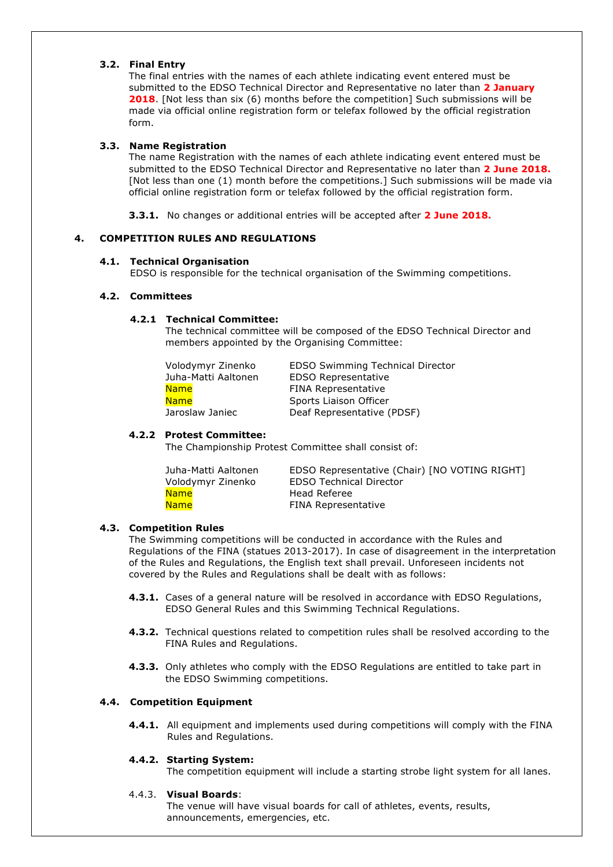## **3.2. Final Entry**

The final entries with the names of each athlete indicating event entered must be submitted to the EDSO Technical Director and Representative no later than **2 January 2018**. [Not less than six (6) months before the competition] Such submissions will be made via official online registration form or telefax followed by the official registration form.

#### **3.3. Name Registration**

The name Registration with the names of each athlete indicating event entered must be submitted to the EDSO Technical Director and Representative no later than **2 June 2018.** [Not less than one (1) month before the competitions.] Such submissions will be made via official online registration form or telefax followed by the official registration form.

**3.3.1.** No changes or additional entries will be accepted after **2 June 2018.**

## **4. COMPETITION RULES AND REGULATIONS**

#### **4.1. Technical Organisation**

EDSO is responsible for the technical organisation of the Swimming competitions.

#### **4.2. Committees**

## **4.2.1 Technical Committee:**

The technical committee will be composed of the EDSO Technical Director and members appointed by the Organising Committee:

| Volodymyr Zinenko   | <b>EDSO Swimming Technical Director</b> |
|---------------------|-----------------------------------------|
| Juha-Matti Aaltonen | <b>EDSO Representative</b>              |
| <b>Name</b>         | <b>FINA Representative</b>              |
| <b>Name</b>         | Sports Liaison Officer                  |
| Jaroslaw Janiec     | Deaf Representative (PDSF)              |
|                     |                                         |

## **4.2.2 Protest Committee:**

The Championship Protest Committee shall consist of:

| Juha-Matti Aaltonen | EDSO Representative (Chair) [NO VOTING RIGHT] |
|---------------------|-----------------------------------------------|
| Volodymyr Zinenko   | <b>EDSO Technical Director</b>                |
| <b>Name</b>         | Head Referee                                  |
| <b>Name</b>         | <b>FINA Representative</b>                    |

## **4.3. Competition Rules**

The Swimming competitions will be conducted in accordance with the Rules and Regulations of the FINA (statues 2013-2017). In case of disagreement in the interpretation of the Rules and Regulations, the English text shall prevail. Unforeseen incidents not covered by the Rules and Regulations shall be dealt with as follows:

- **4.3.1.** Cases of a general nature will be resolved in accordance with EDSO Regulations, EDSO General Rules and this Swimming Technical Regulations.
- **4.3.2.** Technical questions related to competition rules shall be resolved according to the FINA Rules and Regulations.
- **4.3.3.** Only athletes who comply with the EDSO Regulations are entitled to take part in the EDSO Swimming competitions.

## **4.4. Competition Equipment**

**4.4.1.** All equipment and implements used during competitions will comply with the FINA Rules and Regulations.

## **4.4.2. Starting System:**

The competition equipment will include a starting strobe light system for all lanes.

#### 4.4.3. **Visual Boards**:

The venue will have visual boards for call of athletes, events, results, announcements, emergencies, etc.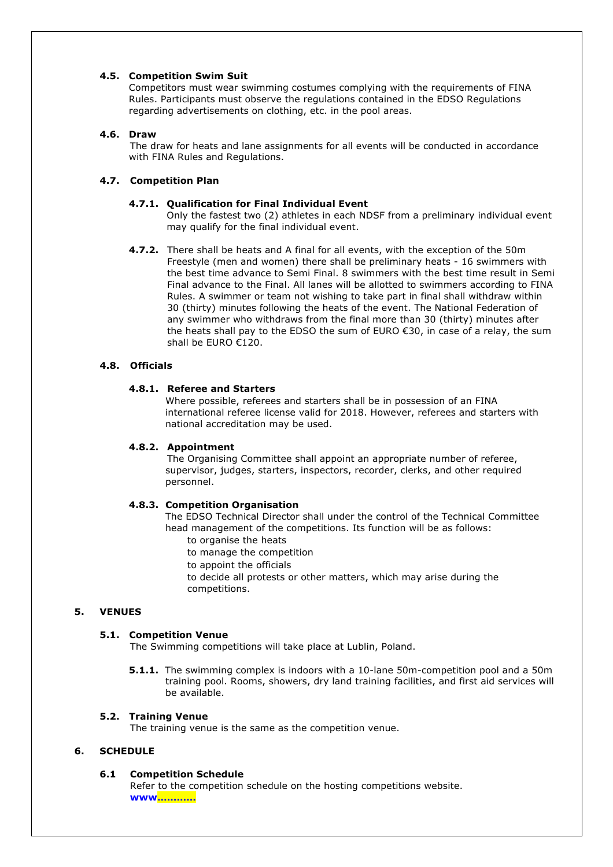#### **4.5. Competition Swim Suit**

Competitors must wear swimming costumes complying with the requirements of FINA Rules. Participants must observe the regulations contained in the EDSO Regulations regarding advertisements on clothing, etc. in the pool areas.

## **4.6. Draw**

The draw for heats and lane assignments for all events will be conducted in accordance with FINA Rules and Regulations.

## **4.7. Competition Plan**

#### **4.7.1. Qualification for Final Individual Event**

Only the fastest two (2) athletes in each NDSF from a preliminary individual event may qualify for the final individual event.

**4.7.2.** There shall be heats and A final for all events, with the exception of the 50m Freestyle (men and women) there shall be preliminary heats - 16 swimmers with the best time advance to Semi Final. 8 swimmers with the best time result in Semi Final advance to the Final. All lanes will be allotted to swimmers according to FINA Rules. A swimmer or team not wishing to take part in final shall withdraw within 30 (thirty) minutes following the heats of the event. The National Federation of any swimmer who withdraws from the final more than 30 (thirty) minutes after the heats shall pay to the EDSO the sum of EURO €30, in case of a relay, the sum shall be EURO €120.

## **4.8. Officials**

## **4.8.1. Referee and Starters**

Where possible, referees and starters shall be in possession of an FINA international referee license valid for 2018. However, referees and starters with national accreditation may be used.

#### **4.8.2. Appointment**

The Organising Committee shall appoint an appropriate number of referee, supervisor, judges, starters, inspectors, recorder, clerks, and other required personnel.

#### **4.8.3. Competition Organisation**

The EDSO Technical Director shall under the control of the Technical Committee head management of the competitions. Its function will be as follows:

- to organise the heats
- to manage the competition
- to appoint the officials

 to decide all protests or other matters, which may arise during the competitions.

## **5. VENUES**

## **5.1. Competition Venue**

The Swimming competitions will take place at Lublin, Poland.

**5.1.1.** The swimming complex is indoors with a 10-lane 50m-competition pool and a 50m training pool. Rooms, showers, dry land training facilities, and first aid services will be available.

#### **5.2. Training Venue**

The training venue is the same as the competition venue.

## **6. SCHEDULE**

#### **6.1 Competition Schedule**

Refer to the competition schedule on the hosting competitions website. **www…………**